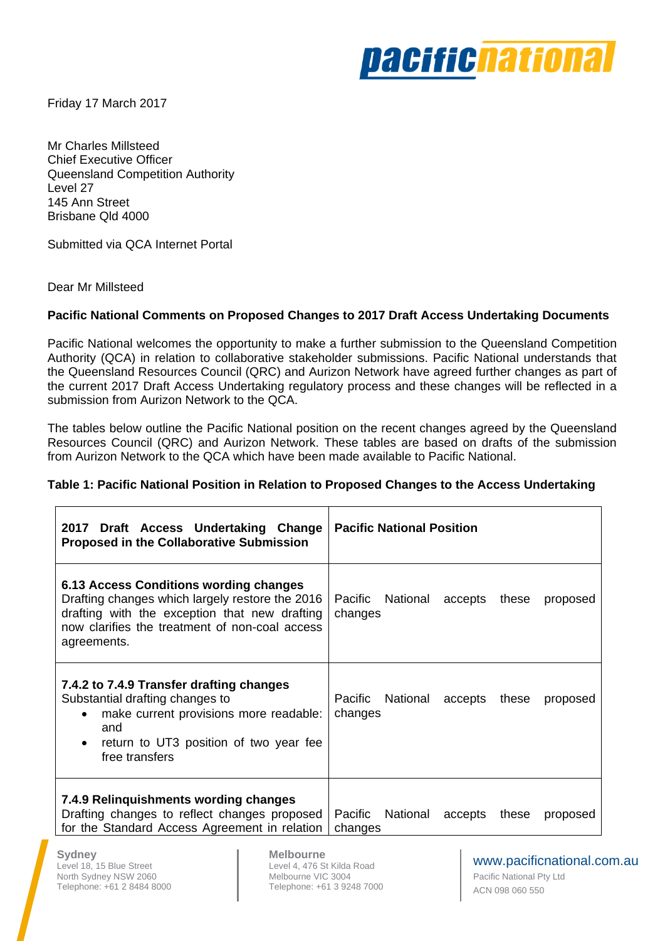

Friday 17 March 2017

Mr Charles Millsteed Chief Executive Officer Queensland Competition Authority Level 27 145 Ann Street Brisbane Qld 4000

Submitted via QCA Internet Portal

Dear Mr Millsteed

### **Pacific National Comments on Proposed Changes to 2017 Draft Access Undertaking Documents**

Pacific National welcomes the opportunity to make a further submission to the Queensland Competition Authority (QCA) in relation to collaborative stakeholder submissions. Pacific National understands that the Queensland Resources Council (QRC) and Aurizon Network have agreed further changes as part of the current 2017 Draft Access Undertaking regulatory process and these changes will be reflected in a submission from Aurizon Network to the QCA.

The tables below outline the Pacific National position on the recent changes agreed by the Queensland Resources Council (QRC) and Aurizon Network. These tables are based on drafts of the submission from Aurizon Network to the QCA which have been made available to Pacific National.

### **Table 1: Pacific National Position in Relation to Proposed Changes to the Access Undertaking**

| 2017<br>Draft Access Undertaking Change<br><b>Proposed in the Collaborative Submission</b>                                                                                                                  | <b>Pacific National Position</b>                            |
|-------------------------------------------------------------------------------------------------------------------------------------------------------------------------------------------------------------|-------------------------------------------------------------|
| 6.13 Access Conditions wording changes<br>Drafting changes which largely restore the 2016<br>drafting with the exception that new drafting<br>now clarifies the treatment of non-coal access<br>agreements. | Pacific National accepts<br>these<br>proposed<br>changes    |
| 7.4.2 to 7.4.9 Transfer drafting changes<br>Substantial drafting changes to<br>make current provisions more readable:<br>$\bullet$<br>and<br>return to UT3 position of two year fee<br>free transfers       | Pacific<br>National accepts<br>these<br>proposed<br>changes |
| 7.4.9 Relinguishments wording changes<br>Drafting changes to reflect changes proposed<br>for the Standard Access Agreement in relation                                                                      | Pacific National<br>accepts<br>these<br>proposed<br>changes |

**Sydney**  Level 18, 15 Blue Street North Sydney NSW 2060 Telephone: +61 2 8484 8000

**Melbourne**  Level 4, 476 St Kilda Road Melbourne VIC 3004 Telephone: +61 3 9248 7000

# www.pacificnational.com.au

Pacific National Pty Ltd ACN 098 060 550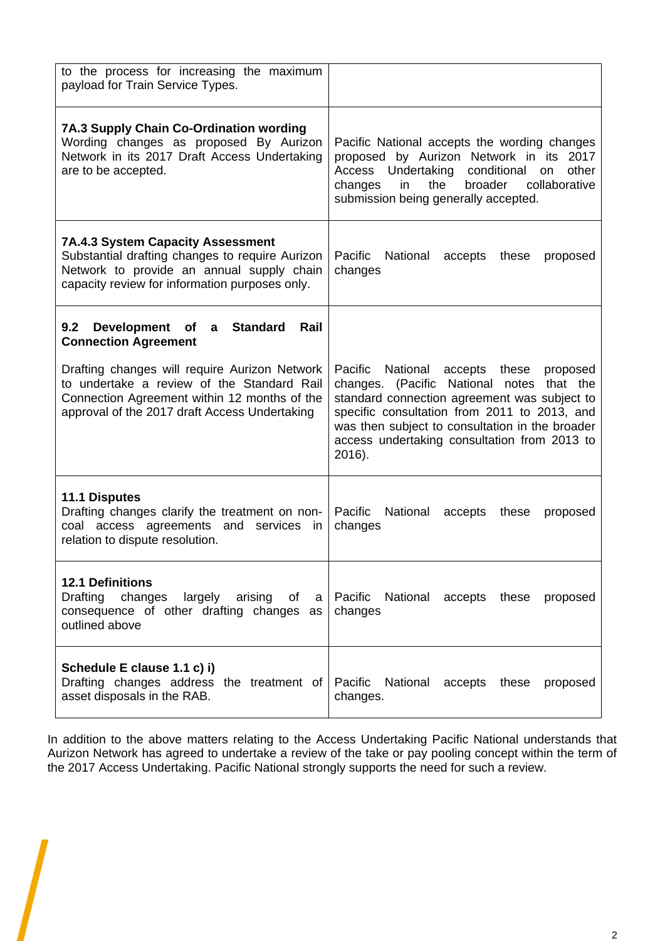| to the process for increasing the maximum<br>payload for Train Service Types.                                                                                                                |                                                                                                                                                                                                                                                                                                               |
|----------------------------------------------------------------------------------------------------------------------------------------------------------------------------------------------|---------------------------------------------------------------------------------------------------------------------------------------------------------------------------------------------------------------------------------------------------------------------------------------------------------------|
| <b>7A.3 Supply Chain Co-Ordination wording</b><br>Wording changes as proposed By Aurizon<br>Network in its 2017 Draft Access Undertaking<br>are to be accepted.                              | Pacific National accepts the wording changes<br>proposed by Aurizon Network in its 2017<br>Undertaking conditional<br>Access<br>other<br>on<br>the<br>broader<br>collaborative<br>changes<br>in<br>submission being generally accepted.                                                                       |
| <b>7A.4.3 System Capacity Assessment</b><br>Substantial drafting changes to require Aurizon<br>Network to provide an annual supply chain<br>capacity review for information purposes only.   | Pacific<br>National<br>accepts<br>these<br>proposed<br>changes                                                                                                                                                                                                                                                |
| 9.2<br>Development of<br><b>Standard</b><br>Rail<br>$\mathsf{a}$<br><b>Connection Agreement</b>                                                                                              |                                                                                                                                                                                                                                                                                                               |
| Drafting changes will require Aurizon Network<br>to undertake a review of the Standard Rail<br>Connection Agreement within 12 months of the<br>approval of the 2017 draft Access Undertaking | Pacific National accepts<br>these<br>proposed<br>changes. (Pacific<br>National notes<br>that the<br>standard connection agreement was subject to<br>specific consultation from 2011 to 2013, and<br>was then subject to consultation in the broader<br>access undertaking consultation from 2013 to<br>2016). |
| <b>11.1 Disputes</b><br>Drafting changes clarify the treatment on non-<br>coal access agreements and<br>services<br>$\mathsf{I}$<br>relation to dispute resolution.                          | Pacific<br>National<br>accepts<br>these<br>proposed<br>changes                                                                                                                                                                                                                                                |
| <b>12.1 Definitions</b><br><b>Drafting</b><br>changes<br>largely<br>consequence of other drafting changes as<br>outlined above                                                               | arising of a Pacific National accepts these<br>proposed<br>changes                                                                                                                                                                                                                                            |
| Schedule E clause 1.1 c) i)<br>Drafting changes address the treatment of<br>asset disposals in the RAB.                                                                                      | Pacific<br>National accepts these<br>proposed<br>changes.                                                                                                                                                                                                                                                     |

In addition to the above matters relating to the Access Undertaking Pacific National understands that Aurizon Network has agreed to undertake a review of the take or pay pooling concept within the term of the 2017 Access Undertaking. Pacific National strongly supports the need for such a review.